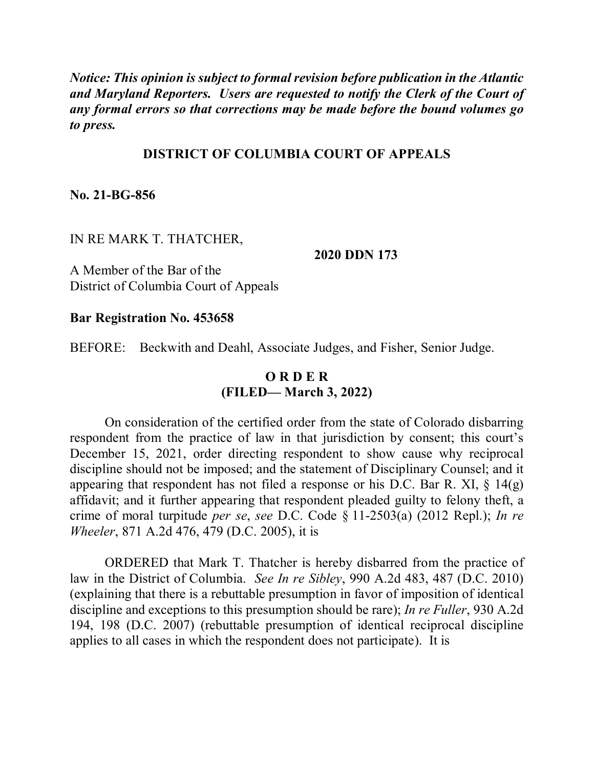*Notice: This opinion is subject to formal revision before publication in the Atlantic and Maryland Reporters. Users are requested to notify the Clerk of the Court of any formal errors so that corrections may be made before the bound volumes go to press.* 

### **DISTRICT OF COLUMBIA COURT OF APPEALS**

**No. 21-BG-856**

#### IN RE MARK T. THATCHER,

#### **2020 DDN 173**

A Member of the Bar of the District of Columbia Court of Appeals

#### **Bar Registration No. 453658**

BEFORE: Beckwith and Deahl, Associate Judges, and Fisher, Senior Judge.

## **O R D E R (FILED— March 3, 2022)**

On consideration of the certified order from the state of Colorado disbarring respondent from the practice of law in that jurisdiction by consent; this court's December 15, 2021, order directing respondent to show cause why reciprocal discipline should not be imposed; and the statement of Disciplinary Counsel; and it appearing that respondent has not filed a response or his D.C. Bar R. XI,  $\S$  14(g) affidavit; and it further appearing that respondent pleaded guilty to felony theft, a crime of moral turpitude *per se*, *see* D.C. Code § 11-2503(a) (2012 Repl.); *In re Wheeler*, 871 A.2d 476, 479 (D.C. 2005), it is

ORDERED that Mark T. Thatcher is hereby disbarred from the practice of law in the District of Columbia. *See In re Sibley*, 990 A.2d 483, 487 (D.C. 2010) (explaining that there is a rebuttable presumption in favor of imposition of identical discipline and exceptions to this presumption should be rare); *In re Fuller*, 930 A.2d 194, 198 (D.C. 2007) (rebuttable presumption of identical reciprocal discipline applies to all cases in which the respondent does not participate). It is